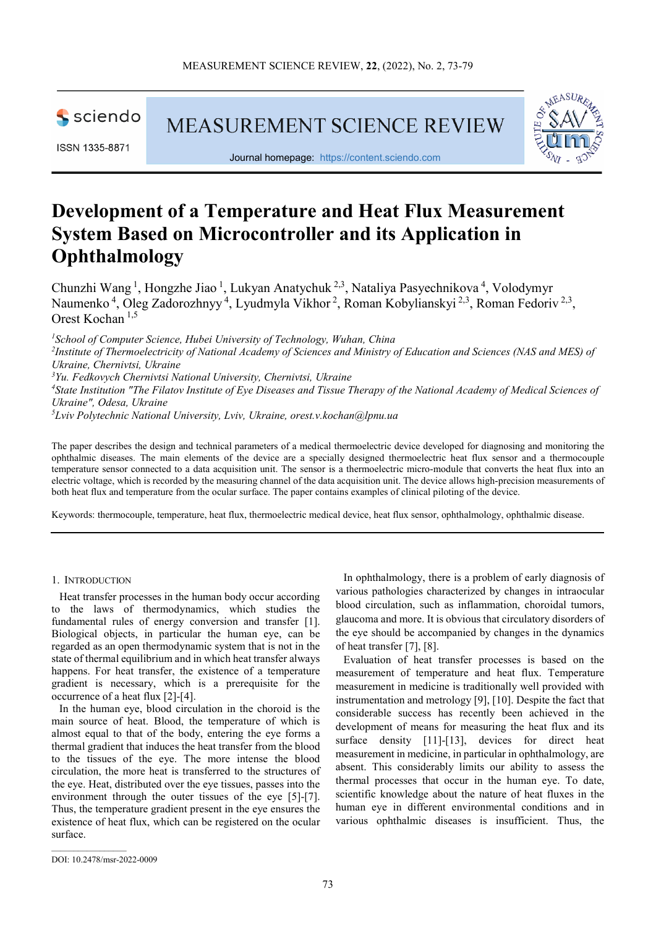

ISSN 1335-8871

MEASUREMENT SCIENCE REVIEW



Journal homepage: [https://content.sciendo.com](https://content.sciendo.com/view/journals/msr/msr-overview.xml)

# **Development of a Temperature and Heat Flux Measurement System Based on Microcontroller and its Application in Ophthalmology**

Chunzhi Wang<sup>1</sup>, Hongzhe Jiao<sup>1</sup>, Lukyan Anatychuk<sup>2,3</sup>, Nataliya Pasyechnikova<sup>4</sup>, Volodymyr Naumenko<sup>4</sup>, Oleg Zadorozhnyy<sup>4</sup>, Lyudmyla Vikhor<sup>2</sup>, Roman Kobylianskyi<sup>2,3</sup>, Roman Fedoriv<sup>2,3</sup>, Orest Kochan 1,5

*1 School of Computer Science, Hubei University of Technology, Wuhan, China 2 Institute of Thermoelectricity of National Academy of Sciences and Ministry of Education and Sciences (NAS and MES) of Ukraine, Chernivtsi, Ukraine 3 Yu. Fedkovych Chernivtsi National University, Chernivtsi, Ukraine* <sup>4</sup> State Institution "The Filatov Institute of Eye Diseases and Tissue Therapy of the National Academy of Medical Sciences of *Ukraine", Odesa, Ukraine*

*5 Lviv Polytechnic National University, Lviv, Ukraine, [orest.v.kochan@lpnu.ua](mailto:orest.v.kochan@lpnu.ua)*

The paper describes the design and technical parameters of a medical thermoelectric device developed for diagnosing and monitoring the ophthalmic diseases. The main elements of the device are a specially designed thermoelectric heat flux sensor and a thermocouple temperature sensor connected to a data acquisition unit. The sensor is a thermoelectric micro-module that converts the heat flux into an electric voltage, which is recorded by the measuring channel of the data acquisition unit. The device allows high-precision measurements of both heat flux and temperature from the ocular surface. The paper contains examples of clinical piloting of the device.

Keywords: thermocouple, temperature, heat flux, thermoelectric medical device, heat flux sensor, ophthalmology, ophthalmic disease.

## 1. INTRODUCTION

Heat transfer processes in the human body occur according to the laws of thermodynamics, which studies the fundamental rules of energy conversion and transfer [1]. Biological objects, in particular the human eye, can be regarded as an open thermodynamic system that is not in the state of thermal equilibrium and in which heat transfer always happens. For heat transfer, the existence of a temperature gradient is necessary, which is a prerequisite for the occurrence of a heat flux [2]-[4].

In the human eye, blood circulation in the choroid is the main source of heat. Blood, the temperature of which is almost equal to that of the body, entering the eye forms a thermal gradient that induces the heat transfer from the blood to the tissues of the eye. The more intense the blood circulation, the more heat is transferred to the structures of the eye. Heat, distributed over the eye tissues, passes into the environment through the outer tissues of the eye [5]-[7]. Thus, the temperature gradient present in the eye ensures the existence of heat flux, which can be registered on the ocular surface.

In ophthalmology, there is a problem of early diagnosis of various pathologies characterized by changes in intraocular blood circulation, such as inflammation, choroidal tumors, glaucoma and more. It is obvious that circulatory disorders of the eye should be accompanied by changes in the dynamics of heat transfer [7], [8].

Evaluation of heat transfer processes is based on the measurement of temperature and heat flux. Temperature measurement in medicine is traditionally well provided with instrumentation and metrology [9], [10]. Despite the fact that considerable success has recently been achieved in the development of means for measuring the heat flux and its surface density [11]-[13], devices for direct heat measurement in medicine, in particular in ophthalmology, are absent. This considerably limits our ability to assess the thermal processes that occur in the human eye. To date, scientific knowledge about the nature of heat fluxes in the human eye in different environmental conditions and in various ophthalmic diseases is insufficient. Thus, the

 $\overline{\phantom{a}}$  ,  $\overline{\phantom{a}}$  ,  $\overline{\phantom{a}}$  ,  $\overline{\phantom{a}}$  ,  $\overline{\phantom{a}}$  ,  $\overline{\phantom{a}}$  ,  $\overline{\phantom{a}}$  ,  $\overline{\phantom{a}}$  ,  $\overline{\phantom{a}}$  ,  $\overline{\phantom{a}}$  ,  $\overline{\phantom{a}}$  ,  $\overline{\phantom{a}}$  ,  $\overline{\phantom{a}}$  ,  $\overline{\phantom{a}}$  ,  $\overline{\phantom{a}}$  ,  $\overline{\phantom{a}}$ 

DOI: 10.2478/msr-2022-0009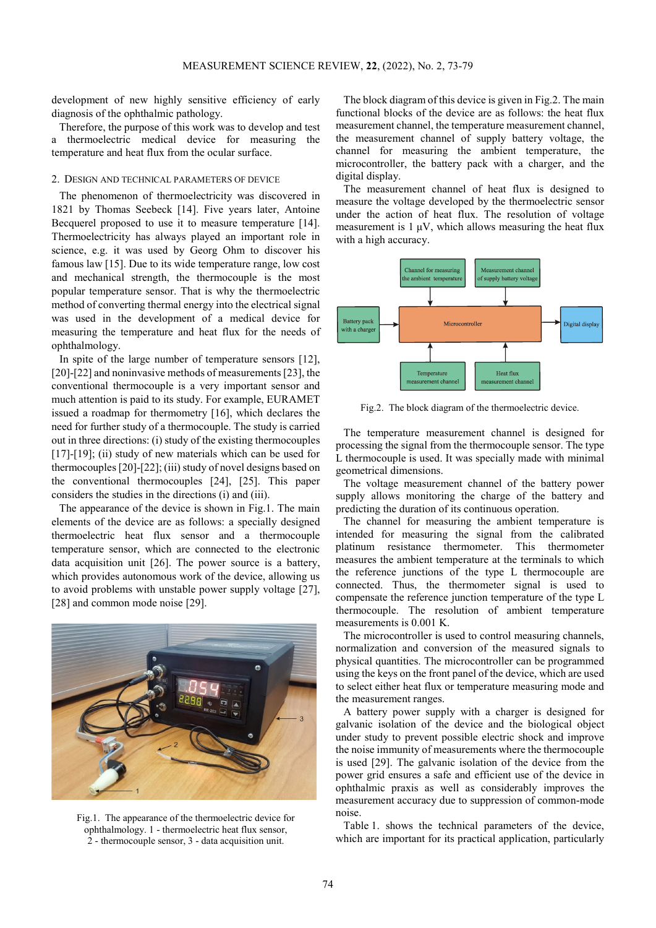development of new highly sensitive efficiency of early diagnosis of the ophthalmic pathology.

Therefore, the purpose of this work was to develop and test a thermoelectric medical device for measuring the temperature and heat flux from the ocular surface.

#### 2. DESIGN AND TECHNICAL PARAMETERS OF DEVICE

The phenomenon of thermoelectricity was discovered in 1821 by Thomas Seebeck [14]. Five years later, Antoine Becquerel proposed to use it to measure temperature [14]. Thermoelectricity has always played an important role in science, e.g. it was used by Georg Ohm to discover his famous law [15]. Due to its wide temperature range, low cost and mechanical strength, the thermocouple is the most popular temperature sensor. That is why the thermoelectric method of converting thermal energy into the electrical signal was used in the development of a medical device for measuring the temperature and heat flux for the needs of ophthalmology.

In spite of the large number of temperature sensors [12], [20]-[22] and noninvasive methods of measurements [23], the conventional thermocouple is a very important sensor and much attention is paid to its study. For example, EURAMET issued a roadmap for thermometry [16], which declares the need for further study of a thermocouple. The study is carried out in three directions: (i) study of the existing thermocouples [17]-[19]; (ii) study of new materials which can be used for thermocouples [20]-[22]; (iii) study of novel designs based on the conventional thermocouples [24], [25]. This paper considers the studies in the directions (i) and (iii).

The appearance of the device is shown in Fig.1. The main elements of the device are as follows: a specially designed thermoelectric heat flux sensor and a thermocouple temperature sensor, which are connected to the electronic data acquisition unit [26]. The power source is a battery, which provides autonomous work of the device, allowing us to avoid problems with unstable power supply voltage [27], [28] and common mode noise [29].



Fig.1. The appearance of the thermoelectric device for ophthalmology. 1 - thermoelectric heat flux sensor, 2 - thermocouple sensor, 3 - data acquisition unit.

The block diagram of this device is given in Fig.2. The main functional blocks of the device are as follows: the heat flux measurement channel, the temperature measurement channel, the measurement channel of supply battery voltage, the channel for measuring the ambient temperature, the microcontroller, the battery pack with a charger, and the digital display.

The measurement channel of heat flux is designed to measure the voltage developed by the thermoelectric sensor under the action of heat flux. The resolution of voltage measurement is  $1 \mu V$ , which allows measuring the heat flux with a high accuracy.



Fig.2. The block diagram of the thermoelectric device.

The temperature measurement channel is designed for processing the signal from the thermocouple sensor. The type L thermocouple is used. It was specially made with minimal geometrical dimensions.

The voltage measurement channel of the battery power supply allows monitoring the charge of the battery and predicting the duration of its continuous operation.

The channel for measuring the ambient temperature is intended for measuring the signal from the calibrated platinum resistance thermometer. This thermometer measures the ambient temperature at the terminals to which the reference junctions of the type L thermocouple are connected. Thus, the thermometer signal is used to compensate the reference junction temperature of the type L thermocouple. The resolution of ambient temperature measurements is 0.001 K.

The microcontroller is used to control measuring channels, normalization and conversion of the measured signals to physical quantities. The microcontroller can be programmed using the keys on the front panel of the device, which are used to select either heat flux or temperature measuring mode and the measurement ranges.

A battery power supply with a charger is designed for galvanic isolation of the device and the biological object under study to prevent possible electric shock and improve the noise immunity of measurements where the thermocouple is used [29]. The galvanic isolation of the device from the power grid ensures a safe and efficient use of the device in ophthalmic praxis as well as considerably improves the measurement accuracy due to suppression of common-mode noise.

Table 1. shows the technical parameters of the device, which are important for its practical application, particularly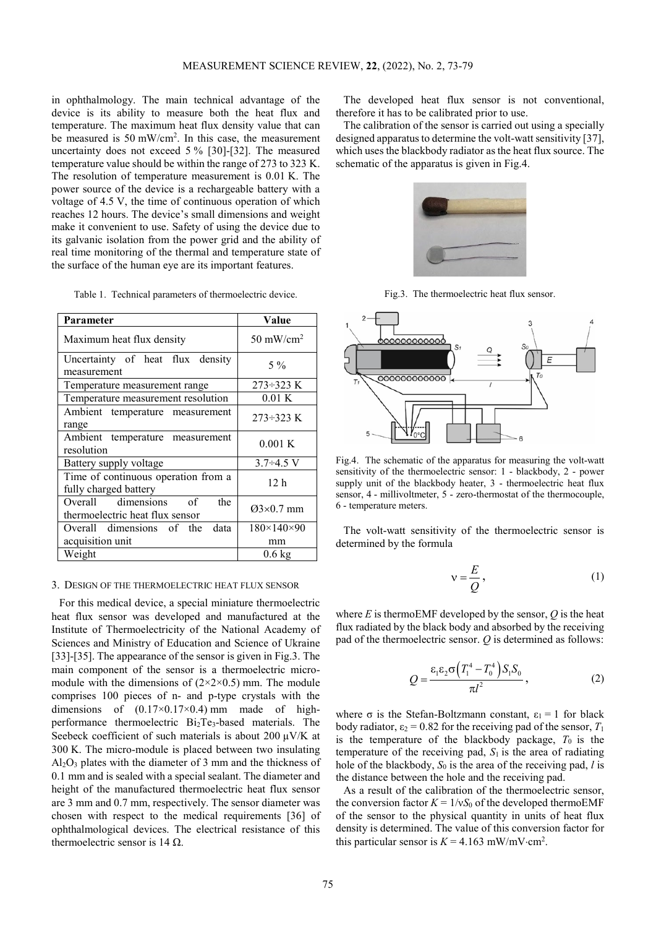in ophthalmology. The main technical advantage of the device is its ability to measure both the heat flux and temperature. The maximum heat flux density value that can be measured is 50 mW/cm2 . In this case, the measurement uncertainty does not exceed 5 % [30]-[32]. The measured temperature value should be within the range of 273 to 323 K. The resolution of temperature measurement is 0.01 K. The power source of the device is a rechargeable battery with a voltage of 4.5 V, the time of continuous operation of which reaches 12 hours. The device's small dimensions and weight make it convenient to use. Safety of using the device due to its galvanic isolation from the power grid and the ability of real time monitoring of the thermal and temperature state of the surface of the human eye are its important features.

Table 1. Technical parameters of thermoelectric device.

| Parameter                                                          | Value                      |  |
|--------------------------------------------------------------------|----------------------------|--|
| Maximum heat flux density                                          | 50 mW/cm <sup>2</sup>      |  |
| Uncertainty of heat flux density<br>measurement                    | $5\%$                      |  |
| Temperature measurement range                                      | $273 - 323$ K              |  |
| Temperature measurement resolution                                 | 0.01K                      |  |
| Ambient temperature measurement<br>range                           | $273 \div 323$ K           |  |
| Ambient temperature measurement<br>resolution                      | 0.001K                     |  |
| Battery supply voltage                                             | $3.7 \div 4.5$ V           |  |
| Time of continuous operation from a<br>fully charged battery       | 12 h                       |  |
| Overall dimensions<br>the<br>of<br>thermoelectric heat flux sensor | $Q3\times0.7$ mm           |  |
| Overall dimensions of the<br>data                                  | $180 \times 140 \times 90$ |  |
| acquisition unit                                                   | mm                         |  |
| Weight                                                             | $0.6 \text{ kg}$           |  |

## 3. DESIGN OF THE THERMOELECTRIC HEAT FLUX SENSOR

For this medical device, a special miniature thermoelectric heat flux sensor was developed and manufactured at the Institute of Thermoelectricity of the National Academy of Sciences and Ministry of Education and Science of Ukraine [33]-[35]. The appearance of the sensor is given in Fig.3. The main component of the sensor is a thermoelectric micromodule with the dimensions of  $(2\times2\times0.5)$  mm. The module comprises 100 pieces of n- and p-type crystals with the dimensions of  $(0.17\times0.17\times0.4)$  mm made of highperformance thermoelectric Bi2Te3-based materials. The Seebeck coefficient of such materials is about 200  $\mu$ V/K at 300 K. The micro-module is placed between two insulating  $Al<sub>2</sub>O<sub>3</sub>$  plates with the diameter of 3 mm and the thickness of 0.1 mm and is sealed with a special sealant. The diameter and height of the manufactured thermoelectric heat flux sensor are 3 mm and 0.7 mm, respectively. The sensor diameter was chosen with respect to the medical requirements [36] of ophthalmological devices. The electrical resistance of this thermoelectric sensor is 14 Ω.

The developed heat flux sensor is not conventional, therefore it has to be calibrated prior to use.

The calibration of the sensor is carried out using a specially designed apparatus to determine the volt-watt sensitivity [37], which uses the blackbody radiator as the heat flux source. The schematic of the apparatus is given in Fig.4.



Fig.3. The thermoelectric heat flux sensor.



Fig.4. The schematic of the apparatus for measuring the volt-watt sensitivity of the thermoelectric sensor: 1 - blackbody, 2 - power supply unit of the blackbody heater, 3 - thermoelectric heat flux sensor, 4 - millivoltmeter, 5 - zero-thermostat of the thermocouple, 6 - temperature meters.

The volt-watt sensitivity of the thermoelectric sensor is determined by the formula

$$
v = \frac{E}{Q},\tag{1}
$$

where *Е* is thermoEMF developed by the sensor, *Q* is the heat flux radiated by the black body and absorbed by the receiving pad of the thermoelectric sensor. *Q* is determined as follows:

$$
Q = \frac{\varepsilon_1 \varepsilon_2 \sigma \left( T_1^4 - T_0^4 \right) S_1 S_0}{\pi l^2}, \qquad (2)
$$

where  $\sigma$  is the Stefan-Boltzmann constant,  $\varepsilon_1 = 1$  for black body radiator,  $\varepsilon_2 = 0.82$  for the receiving pad of the sensor,  $T_1$ is the temperature of the blackbody package,  $T_0$  is the temperature of the receiving pad,  $S_1$  is the area of radiating hole of the blackbody, *S*<sup>0</sup> is the area of the receiving pad, *l* is the distance between the hole and the receiving pad.

As a result of the calibration of the thermoelectric sensor, the conversion factor  $K = 1/vS_0$  of the developed thermoEMF of the sensor to the physical quantity in units of heat flux density is determined. The value of this conversion factor for this particular sensor is  $K = 4.163$  mW/mV⋅cm<sup>2</sup>.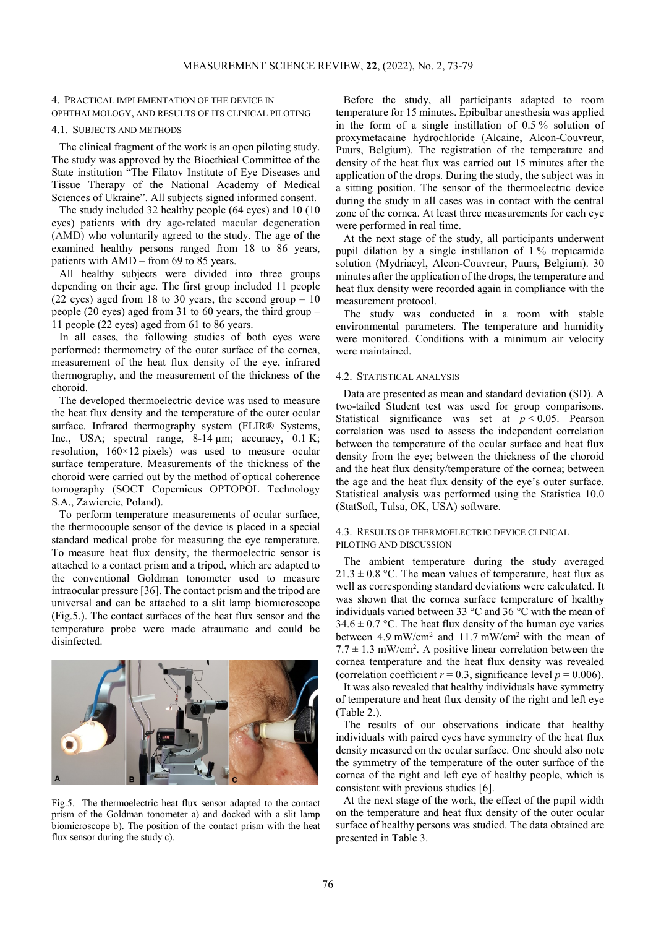## 4. PRACTICAL IMPLEMENTATION OF THE DEVICE IN OPHTHALMOLOGY, AND RESULTS OF ITS CLINICAL PILOTING

## 4.1. SUBJECTS AND METHODS

The clinical fragment of the work is an open piloting study. The study was approved by the Bioethical Committee of the State institution "The Filatov Institute of Eye Diseases and Tissue Therapy of the National Academy of Medical Sciences of Ukraine". All subjects signed informed consent.

The study included 32 healthy people (64 eyes) and 10 (10 eyes) patients with dry age-related macular degeneration (AMD) who voluntarily agreed to the study. The age of the examined healthy persons ranged from 18 to 86 years, patients with AMD – from 69 to 85 years.

All healthy subjects were divided into three groups depending on their age. The first group included 11 people (22 eyes) aged from 18 to 30 years, the second group  $-10$ people (20 eyes) aged from 31 to 60 years, the third group – 11 people (22 eyes) aged from 61 to 86 years.

In all cases, the following studies of both eyes were performed: thermometry of the outer surface of the cornea, measurement of the heat flux density of the eye, infrared thermography, and the measurement of the thickness of the choroid.

The developed thermoelectric device was used to measure the heat flux density and the temperature of the outer ocular surface. Infrared thermography system (FLIR® Systems, Inc., USA; spectral range, 8-14 μm; accuracy, 0.1 K; resolution, 160×12 pixels) was used to measure ocular surface temperature. Measurements of the thickness of the choroid were carried out by the method of optical coherence tomography (SOCT Copernicus OPTOPOL Technology S.A., Zawiercie, Poland).

To perform temperature measurements of ocular surface, the thermocouple sensor of the device is placed in a special standard medical probe for measuring the eye temperature. To measure heat flux density, the thermoelectric sensor is attached to a contact prism and a tripod, which are adapted to the conventional Goldman tonometer used to measure intraocular pressure [36]. The contact prism and the tripod are universal and can be attached to a slit lamp biomicroscope (Fig.5.). The contact surfaces of the heat flux sensor and the temperature probe were made atraumatic and could be disinfected.



Fig.5. The thermoelectric heat flux sensor adapted to the contact prism of the Goldman tonometer a) and docked with a slit lamp biomicroscope b). The position of the contact prism with the heat flux sensor during the study c).

Before the study, all participants adapted to room temperature for 15 minutes. Epibulbar anesthesia was applied in the form of a single instillation of 0.5 % solution of proxymetacaine hydrochloride (Alcaine, Alcon-Couvreur, Puurs, Belgium). The registration of the temperature and density of the heat flux was carried out 15 minutes after the application of the drops. During the study, the subject was in a sitting position. The sensor of the thermoelectric device during the study in all cases was in contact with the central zone of the cornea. At least three measurements for each eye were performed in real time.

At the next stage of the study, all participants underwent pupil dilation by a single instillation of 1 % tropicamide solution (Mydriacyl, Alcon-Couvreur, Puurs, Belgium). 30 minutes after the application of the drops, the temperature and heat flux density were recorded again in compliance with the measurement protocol.

The study was conducted in a room with stable environmental parameters. The temperature and humidity were monitored. Conditions with a minimum air velocity were maintained.

#### 4.2. STATISTICAL ANALYSIS

Data are presented as mean and standard deviation (SD). A two-tailed Student test was used for group comparisons. Statistical significance was set at  $p < 0.05$ . Pearson correlation was used to assess the independent correlation between the temperature of the ocular surface and heat flux density from the eye; between the thickness of the choroid and the heat flux density/temperature of the cornea; between the age and the heat flux density of the eye's outer surface. Statistical analysis was performed using the Statistica 10.0 (StatSoft, Tulsa, OK, USA) software.

### 4.3. RESULTS OF THERMOELECTRIC DEVICE CLINICAL PILOTING AND DISCUSSION

The ambient temperature during the study averaged  $21.3 \pm 0.8$  °C. The mean values of temperature, heat flux as well as corresponding standard deviations were calculated. It was shown that the cornea surface temperature of healthy individuals varied between 33 °C and 36 °C with the mean of  $34.6 \pm 0.7$  °C. The heat flux density of the human eye varies between 4.9 mW/cm2 and 11.7 mW/cm2 with the mean of  $7.7 \pm 1.3$  mW/cm<sup>2</sup>. A positive linear correlation between the cornea temperature and the heat flux density was revealed (correlation coefficient  $r = 0.3$ , significance level  $p = 0.006$ ).

It was also revealed that healthy individuals have symmetry of temperature and heat flux density of the right and left eye (Table 2.).

The results of our observations indicate that healthy individuals with paired eyes have symmetry of the heat flux density measured on the ocular surface. One should also note the symmetry of the temperature of the outer surface of the cornea of the right and left eye of healthy people, which is consistent with previous studies [6].

At the next stage of the work, the effect of the pupil width on the temperature and heat flux density of the outer ocular surface of healthy persons was studied. The data obtained are presented in Table 3.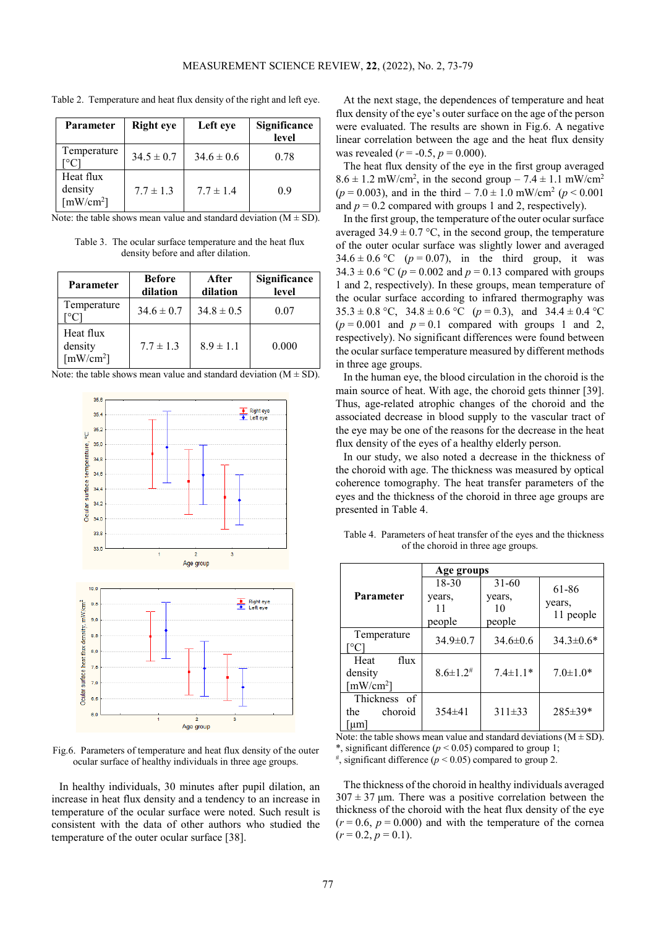| Parameter                                                    | <b>Right</b> eye | Left eye       | Significance<br>level |
|--------------------------------------------------------------|------------------|----------------|-----------------------|
| Temperature                                                  | $34.5 \pm 0.7$   | $34.6 \pm 0.6$ | 0.78                  |
| Heat flux<br>density<br>$\lceil$ mW/cm <sup>2</sup> $\rceil$ | $7.7 \pm 1.3$    | $7.7 \pm 1.4$  | 09                    |

Table 2. Temperature and heat flux density of the right and left eye.

Note: the table shows mean value and standard deviation  $(M \pm SD)$ .

Table 3. The ocular surface temperature and the heat flux density before and after dilation.

| Parameter                                                    | <b>Before</b><br>dilation | After<br>dilation | Significance<br>level |
|--------------------------------------------------------------|---------------------------|-------------------|-----------------------|
| Temperature                                                  | $34.6 \pm 0.7$            | $34.8 \pm 0.5$    | 0.07                  |
| Heat flux<br>density<br>$\lceil$ mW/cm <sup>2</sup> $\rceil$ | $7.7 \pm 1.3$             | $8.9 \pm 1.1$     | 0.000                 |

| Note: the table shows mean value and standard deviation $(M \pm SD)$ . |  |  |  |
|------------------------------------------------------------------------|--|--|--|
|------------------------------------------------------------------------|--|--|--|



Fig.6. Parameters of temperature and heat flux density of the outer ocular surface of healthy individuals in three age groups.

In healthy individuals, 30 minutes after pupil dilation, an increase in heat flux density and a tendency to an increase in temperature of the ocular surface were noted. Such result is consistent with the data of other authors who studied the temperature of the outer ocular surface [38].

At the next stage, the dependences of temperature and heat flux density of the eye's outer surface on the age of the person were evaluated. The results are shown in Fig.6. A negative linear correlation between the age and the heat flux density was revealed ( $r = -0.5$ ,  $p = 0.000$ ).

The heat flux density of the eye in the first group averaged  $8.6 \pm 1.2$  mW/cm<sup>2</sup>, in the second group  $- 7.4 \pm 1.1$  mW/cm<sup>2</sup>  $(p = 0.003)$ , and in the third – 7.0  $\pm$  1.0 mW/cm<sup>2</sup> ( $p \le 0.001$ ) and  $p = 0.2$  compared with groups 1 and 2, respectively).

In the first group, the temperature of the outer ocular surface averaged  $34.9 \pm 0.7$  °C, in the second group, the temperature of the outer ocular surface was slightly lower and averaged  $34.6 \pm 0.6$  °C ( $p = 0.07$ ), in the third group, it was  $34.3 \pm 0.6$  °C ( $p = 0.002$  and  $p = 0.13$  compared with groups 1 and 2, respectively). In these groups, mean temperature of the ocular surface according to infrared thermography was  $35.3 \pm 0.8$  °C,  $34.8 \pm 0.6$  °C ( $p = 0.3$ ), and  $34.4 \pm 0.4$  °C  $(p=0.001$  and  $p=0.1$  compared with groups 1 and 2, respectively). No significant differences were found between the ocular surface temperature measured by different methods in three age groups.

In the human eye, the blood circulation in the choroid is the main source of heat. With age, the choroid gets thinner [39]. Thus, age-related atrophic changes of the choroid and the associated decrease in blood supply to the vascular tract of the eye may be one of the reasons for the decrease in the heat flux density of the eyes of a healthy elderly person.

In our study, we also noted a decrease in the thickness of the choroid with age. The thickness was measured by optical coherence tomography. The heat transfer parameters of the eyes and the thickness of the choroid in three age groups are presented in Table 4.

|                                                                 | Age groups                 |                |                 |
|-----------------------------------------------------------------|----------------------------|----------------|-----------------|
|                                                                 | $18 - 30$                  | $31 - 60$      | 61-86           |
| Parameter                                                       | years,                     | years,         | years,          |
|                                                                 | 11                         | 10             | 11 people       |
|                                                                 | people                     | people         |                 |
| Temperature<br>$^{\circ}C$                                      | $34.9 \pm 0.7$             | $34.6\pm0.6$   | $34.3 \pm 0.6*$ |
| flux<br>Heat<br>density<br>$\lceil$ mW/cm <sup>2</sup> $\rceil$ | $8.6 \pm 1.2$ <sup>#</sup> | $7.4 \pm 1.1*$ | $7.0 \pm 1.0*$  |
| Thickness of<br>choroid<br>the<br>$\mu$ m                       | $354\pm41$                 | $311\pm33$     | $285 \pm 39*$   |

Table 4. Parameters of heat transfer of the eyes and the thickness of the choroid in three age groups.

Note: the table shows mean value and standard deviations  $(M \pm SD)$ .

\*, significant difference ( $p < 0.05$ ) compared to group 1;  $\frac{4}{5}$  significant difference ( $p < 0.05$ ) compared to group 2.

The thickness of the choroid in healthy individuals averaged  $307 \pm 37$  μm. There was a positive correlation between the thickness of the choroid with the heat flux density of the eye  $(r = 0.6, p = 0.000)$  and with the temperature of the cornea  $(r=0.2, p=0.1).$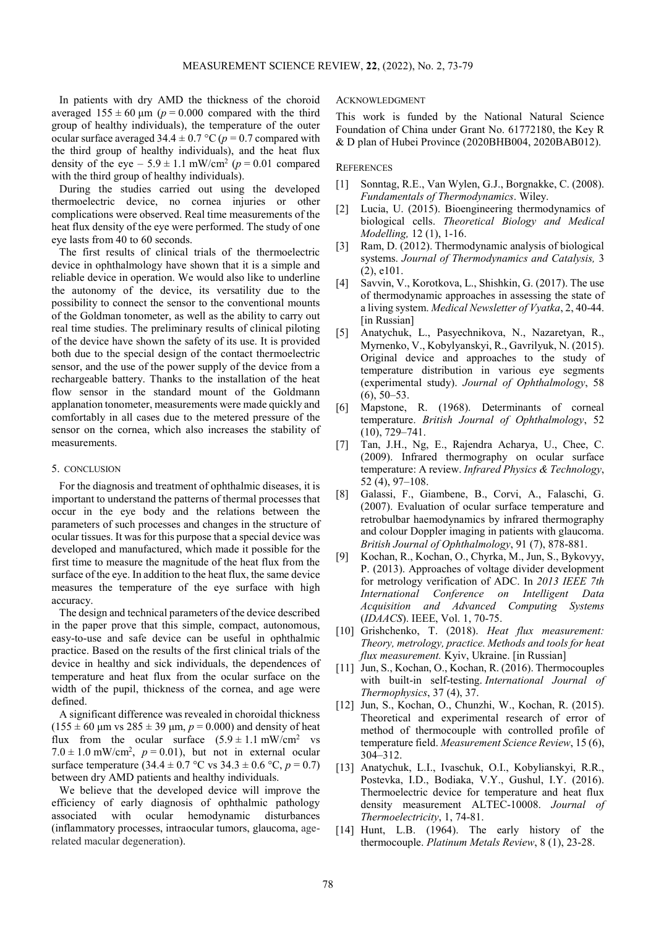In patients with dry AMD the thickness of the choroid averaged  $155 \pm 60 \,\text{\mu m}$  ( $p = 0.000$  compared with the third group of healthy individuals), the temperature of the outer ocular surface averaged  $34.4 \pm 0.7$  °C ( $p = 0.7$  compared with the third group of healthy individuals), and the heat flux density of the eye –  $5.9 \pm 1.1$  mW/cm<sup>2</sup> ( $p = 0.01$  compared with the third group of healthy individuals).

During the studies carried out using the developed thermoelectric device, no cornea injuries or other complications were observed. Real time measurements of the heat flux density of the eye were performed. The study of one eye lasts from 40 to 60 seconds.

The first results of clinical trials of the thermoelectric device in ophthalmology have shown that it is a simple and reliable device in operation. We would also like to underline the autonomy of the device, its versatility due to the possibility to connect the sensor to the conventional mounts of the Goldman tonometer, as well as the ability to carry out real time studies. The preliminary results of clinical piloting of the device have shown the safety of its use. It is provided both due to the special design of the contact thermoelectric sensor, and the use of the power supply of the device from a rechargeable battery. Thanks to the installation of the heat flow sensor in the standard mount of the Goldmann applanation tonometer, measurements were made quickly and comfortably in all cases due to the metered pressure of the sensor on the cornea, which also increases the stability of measurements.

#### 5. CONCLUSION

For the diagnosis and treatment of ophthalmic diseases, it is important to understand the patterns of thermal processes that occur in the eye body and the relations between the parameters of such processes and changes in the structure of ocular tissues. It was for this purpose that a special device was developed and manufactured, which made it possible for the first time to measure the magnitude of the heat flux from the surface of the eye. In addition to the heat flux, the same device measures the temperature of the eye surface with high accuracy.

The design and technical parameters of the device described in the paper prove that this simple, compact, autonomous, easy-to-use and safe device can be useful in ophthalmic practice. Based on the results of the first clinical trials of the device in healthy and sick individuals, the dependences of temperature and heat flux from the ocular surface on the width of the pupil, thickness of the cornea, and age were defined.

A significant difference was revealed in choroidal thickness  $(155 \pm 60 \text{ µm vs } 285 \pm 39 \text{ µm}, p = 0.000)$  and density of heat flux from the ocular surface  $(5.9 \pm 1.1 \text{ mW/cm}^2 \text{ vs }$  $7.0 \pm 1.0$  mW/cm<sup>2</sup>,  $p = 0.01$ ), but not in external ocular surface temperature  $(34.4 \pm 0.7 \degree C \text{ vs } 34.3 \pm 0.6 \degree C, p = 0.7)$ between dry AMD patients and healthy individuals.

We believe that the developed device will improve the efficiency of early diagnosis of ophthalmic pathology associated with ocular hemodynamic disturbances (inflammatory processes, intraocular tumors, glaucoma, agerelated macular degeneration).

## ACKNOWLEDGMENT

This work is funded by the National Natural Science Foundation of China under Grant No. 61772180, the Key R & D plan of Hubei Province (2020BHB004, 2020BAB012).

### **REFERENCES**

- [1] Sonntag, R.E., Van Wylen, G.J., Borgnakke, C. (2008). *Fundamentals of Thermodynamics*. Wiley.
- [2] Lucia, U. (2015). Bioengineering thermodynamics of biological cells. *Theoretical Biology and Medical Modelling,* 12 (1), 1-16.
- [3] Ram, D. (2012). Thermodynamic analysis of biological systems. *Journal of Thermodynamics and Catalysis,* 3 (2), e101.
- [4] Savvin, V., Korotkova, L., Shishkin, G. (2017). The use of thermodynamic approaches in assessing the state of a living system. *Medical Newsletter of Vyatka*, 2, 40-44. [in Russian]
- [5] Anatychuk, L., Pasyechnikova, N., Nazaretyan, R., Myrnenko, V., Kobylyanskyi, R., Gavrilyuk, N. (2015). Original device and approaches to the study of temperature distribution in various eye segments (experimental study). *Journal of Ophthalmology*, 58  $(6)$ , 50–53.
- [6] Mapstone, R. (1968). Determinants of corneal temperature. *British Journal of Ophthalmology*, 52 (10), 729–741.
- [7] Tan, J.H., Ng, E., Rajendra Acharya, U., Chee, C. (2009). Infrared thermography on ocular surface temperature: A review. *Infrared Physics & Technology*, 52 (4), 97–108.
- [8] Galassi, F., Giambene, B., Corvi, A., Falaschi, G. (2007). Evaluation of ocular surface temperature and retrobulbar haemodynamics by infrared thermography and colour Doppler imaging in patients with glaucoma. *British Journal of Ophthalmology*, 91 (7), 878-881.
- [9] Kochan, R., Kochan, O., Chyrka, M., Jun, S., Bykovyy, P. (2013). Approaches of voltage divider development for metrology verification of ADC. In *2013 IEEE 7th International Conference on Intelligent Data Acquisition and Advanced Computing Systems* (*IDAACS*). IEEE, Vol. 1, 70-75.
- [10] Grishchenko, T. (2018). *Heat flux measurement: Theory, metrology, practice. Methods and tools for heat flux measurement.* Kyiv, Ukraine. [in Russian]
- [11] Jun, S., Kochan, O., Kochan, R. (2016). Thermocouples with built-in self-testing. *International Journal of Thermophysics*, 37 (4), 37.
- [12] Jun, S., Kochan, O., Chunzhi, W., Kochan, R. (2015). Theoretical and experimental research of error of method of thermocouple with controlled profile of temperature field. *Measurement Science Review*, 15 (6), 304–312.
- [13] Anatychuk, L.I., Ivaschuk, O.I., Kobylianskyi, R.R., Postevka, I.D., Bodiaka, V.Y., Gushul, I.Y. (2016). Thermoelectric device for temperature and heat flux density measurement ALTEC-10008. *Journal of Thermoelectricity*, 1, 74-81.
- [14] Hunt, L.B. (1964). The early history of the thermocouple. *Platinum Metals Review*, 8 (1), 23-28.